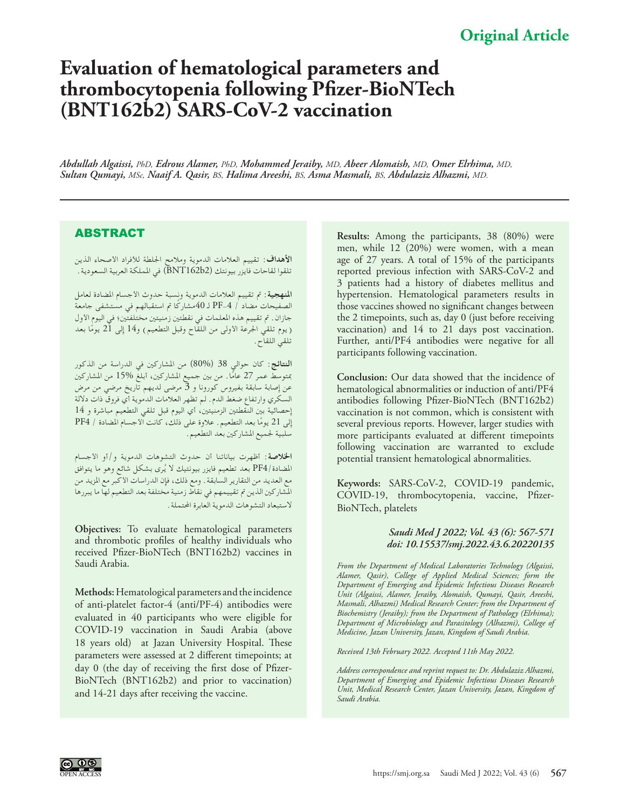## **Original Article**

# **Evaluation of hematological parameters and thrombocytopenia following Pfizer-BioNTech (BNT162b2) SARS-CoV-2 vaccination**

*Abdullah Algaissi, PhD, Edrous Alamer, PhD, Mohammed Jeraiby, MD, Abeer Alomaish, MD, Omer Elrhima, MD, Sultan Qumayi, MSc, Naaif A. Qasir, BS, Halima Areeshi, BS, Asma Masmali, BS, Abdulaziz Alhazmi, MD.*

### ABSTRACT

**األهداف**: تقييم العالمات الدموية ومالمح اجللطة لألفراد األصحاء الذين تلقوا لقاحات فايزر بيونتك )2b162BNT )في اململكة العربية السعودية.

**املنهجية:** مت تقييم العالمات الدموية ونسبة حدوث األجسام املضادة لعامل الصفيحات مضاد / PF-4 لـ 40مشاركًا تم استقبالهم في مستشفى جامعة جازان. تم تقييم هذه المعلمات في نقطتين زمنيتين مختلفتين؛ في اليوم الأول ( يوم تلقي الجرعة الأولى من اللقاح وقبل التطعيم) و14 إلى 21 يومًا بعد تلقي اللقاح.

**النتائج**: كان حوالي 38 )80%( من املشاركني في الدراسة من الذكور بمتوسط عمر 27 عامًا. من بين جميع المشاركين، أبلغ %15 من المشاركين عن إصابة سابقة بفيروس كورونا و 3 مرضى لديهم تاريخ مرضي من مرض السكري وارتفاع ضغط الدم. لم تظهر العالمات الدموية أي فروق ذات داللة إحصائية بني النقطتني الزمنيتني، أي اليوم قبل تلقي التطعيم مباشرة و 14 إلى 21 يومًا بعد التطعيم. علاوة على ذلك، كانت الأجسام المضادة / PF4 سلبية جلميع املشاركني بعد التطعيم.

**اخلالصة**: أظهرت بياناتنا أن حدوث التشوهات الدموية و/أو األجسام المضادة /PF4 بعد تطعيم فايزر بيونتيك لا يُرى بشكل شائع وهو ما يتوافق مع العديد من التقارير السابقة. ومع ذلك، فإن الدراسات األكبر مع املزيد من املشاركني الذين مت تقييمهم في نقاط زمنية مختلفة بعد التطعيم لها ما يبررها لاستبعاد التشوهات الدموية العابرة المحتملة .

**Objectives:** To evaluate hematological parameters and thrombotic profiles of healthy individuals who received Pfizer-BioNTech (BNT162b2) vaccines in Saudi Arabia.

**Methods:** Hematological parameters and the incidence of anti-platelet factor-4 (anti/PF-4) antibodies were evaluated in 40 participants who were eligible for COVID-19 vaccination in Saudi Arabia (above 18 years old) at Jazan University Hospital. These parameters were assessed at 2 different timepoints; at day 0 (the day of receiving the first dose of Pfizer-BioNTech (BNT162b2) and prior to vaccination) and 14-21 days after receiving the vaccine.

**Results:** Among the participants, 38 (80%) were men, while 12 (20%) were women, with a mean age of 27 years. A total of 15% of the participants reported previous infection with SARS-CoV-2 and 3 patients had a history of diabetes mellitus and hypertension. Hematological parameters results in those vaccines showed no significant changes between the 2 timepoints, such as, day 0 (just before receiving vaccination) and 14 to 21 days post vaccination. Further, anti/PF4 antibodies were negative for all participants following vaccination.

**Conclusion:** Our data showed that the incidence of hematological abnormalities or induction of anti/PF4 antibodies following Pfizer-BioNTech (BNT162b2) vaccination is not common, which is consistent with several previous reports. However, larger studies with more participants evaluated at different timepoints following vaccination are warranted to exclude potential transient hematological abnormalities.

**Keywords:** SARS-CoV-2, COVID-19 pandemic, COVID-19, thrombocytopenia, vaccine, Pfizer-BioNTech, platelets

#### *Saudi Med J 2022; Vol. 43 (6): 567-571 doi: 10.15537/smj.2022.43.6.20220135*

*From the Department of Medical Laboratories Technology (Algaissi, Alamer, Qasir), College of Applied Medical Sciences; form the Department of Emerging and Epidemic Infectious Diseases Research Unit (Algaissi, Alamer, Jeraiby, Alomaish, Qumayi, Qasir, Areeshi, Masmali, Alhazmi) Medical Research Center; from the Department of Biochemistry (Jeraiby); from the Department of Pathology (Elrhima); Department of Microbiology and Parasitology (Alhazmi), College of Medicine, Jazan University, Jazan, Kingdom of Saudi Arabia.*

*Received 13th February 2022. Accepted 11th May 2022.*

*Address correspondence and reprint request to: Dr. Abdulaziz Alhazmi, Department of Emerging and Epidemic Infectious Diseases Research Unit, Medical Research Center, Jazan University, Jazan, Kingdom of Saudi Arabia.*

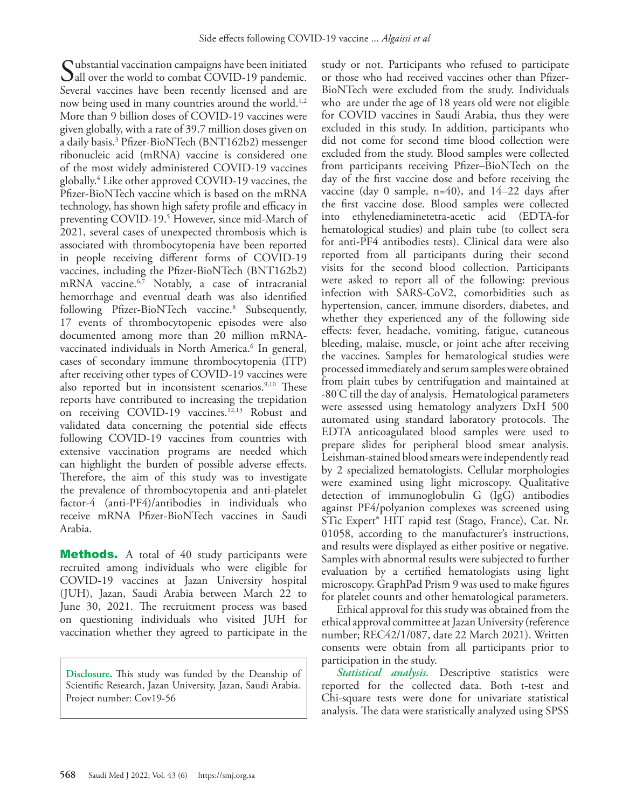Substantial vaccination campaigns have been initiated<br>Sall over the world to combat COVID-19 pandemic. Several vaccines have been recently licensed and are now being used in many countries around the world.<sup>[1](#page-4-0)[,2](#page-4-1)</sup> More than 9 billion doses of COVID-19 vaccines were given globally, with a rate of 39.7 million doses given on a daily basis.[3](#page-4-2) Pfizer-BioNTech (BNT162b2) messenger ribonucleic acid (mRNA) vaccine is considered one of the most widely administered COVID-19 vaccines globally.[4](#page-4-3) Like other approved COVID-19 vaccines, the Pfizer-BioNTech vaccine which is based on the mRNA technology, has shown high safety profile and efficacy in preventing COVID-19.[5](#page-4-4) However, since mid-March of 2021, several cases of unexpected thrombosis which is associated with thrombocytopenia have been reported in people receiving different forms of COVID-19 vaccines, including the Pfizer-BioNTech (BNT162b2) mRNA vaccine.<sup>6,[7](#page-4-6)</sup> Notably, a case of intracranial hemorrhage and eventual death was also identified following Pfizer-BioNTech vaccine.8 Subsequently, 17 events of thrombocytopenic episodes were also documented among more than 20 million mRNA-vaccinated individuals in North America.<sup>[6](#page-4-5)</sup> In general, cases of secondary immune thrombocytopenia (ITP) after receiving other types of COVID-19 vaccines were also reported but in inconsistent scenarios.<sup>9,[10](#page-4-8)</sup> These reports have contributed to increasing the trepidation on receiving COVID-19 vaccines.<sup>12,13</sup> Robust and validated data concerning the potential side effects following COVID-19 vaccines from countries with extensive vaccination programs are needed which can highlight the burden of possible adverse effects. Therefore, the aim of this study was to investigate the prevalence of thrombocytopenia and anti-platelet factor-4 (anti-PF4)/antibodies in individuals who receive mRNA Pfizer-BioNTech vaccines in Saudi Arabia.

**Methods.** A total of 40 study participants were recruited among individuals who were eligible for COVID-19 vaccines at Jazan University hospital (JUH), Jazan, Saudi Arabia between March 22 to June 30, 2021. The recruitment process was based on questioning individuals who visited JUH for vaccination whether they agreed to participate in the

**Disclosure.** This study was funded by the Deanship of Scientific Research, Jazan University, Jazan, Saudi Arabia. Project number: Cov19-56

study or not. Participants who refused to participate or those who had received vaccines other than Pfizer-BioNTech were excluded from the study. Individuals who are under the age of 18 years old were not eligible for COVID vaccines in Saudi Arabia, thus they were excluded in this study. In addition, participants who did not come for second time blood collection were excluded from the study. Blood samples were collected from participants receiving Pfizer–BioNTech on the day of the first vaccine dose and before receiving the vaccine (day 0 sample,  $n=40$ ), and  $14-22$  days after the first vaccine dose. Blood samples were collected into ethylenediaminetetra-acetic acid (EDTA-for hematological studies) and plain tube (to collect sera for anti-PF4 antibodies tests). Clinical data were also reported from all participants during their second visits for the second blood collection. Participants were asked to report all of the following: previous infection with SARS-CoV2, comorbidities such as hypertension, cancer, immune disorders, diabetes, and whether they experienced any of the following side effects: fever, headache, vomiting, fatigue, cutaneous bleeding, malaise, muscle, or joint ache after receiving the vaccines. Samples for hematological studies were processed immediately and serum samples were obtained from plain tubes by centrifugation and maintained at -80° C till the day of analysis. Hematological parameters were assessed using hematology analyzers DxH 500 automated using standard laboratory protocols. The EDTA anticoagulated blood samples were used to prepare slides for peripheral blood smear analysis. Leishman-stained blood smears were independently read by 2 specialized hematologists. Cellular morphologies were examined using light microscopy. Qualitative detection of immunoglobulin G (IgG) antibodies against PF4/polyanion complexes was screened using STic Expert® HIT rapid test (Stago, France), Cat. Nr. 01058, according to the manufacturer's instructions, and results were displayed as either positive or negative. Samples with abnormal results were subjected to further evaluation by a certified hematologists using light microscopy. GraphPad Prism 9 was used to make figures for platelet counts and other hematological parameters.

Ethical approval for this study was obtained from the ethical approval committee at Jazan University (reference number; REC42/1/087, date 22 March 2021). Written consents were obtain from all participants prior to participation in the study.

*Statistical analysis.* Descriptive statistics were reported for the collected data. Both t-test and Chi-square tests were done for univariate statistical analysis. The data were statistically analyzed using SPSS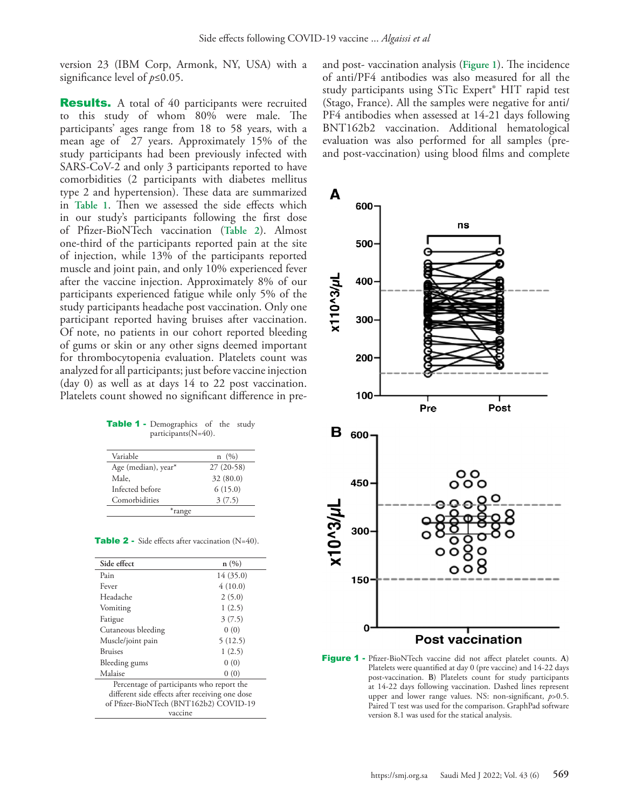version 23 (IBM Corp, Armonk, NY, USA) with a significance level of *p*≤0.05.

**Results.** A total of 40 participants were recruited to this study of whom 80% were male. The participants' ages range from 18 to 58 years, with a mean age of 27 years. Approximately 15% of the study participants had been previously infected with SARS-CoV-2 and only 3 participants reported to have comorbidities (2 participants with diabetes mellitus type 2 and hypertension). These data are summarized in **Table 1**. Then we assessed the side effects which in our study's participants following the first dose of Pfizer-BioNTech vaccination (**Table 2**). Almost one-third of the participants reported pain at the site of injection, while 13% of the participants reported muscle and joint pain, and only 10% experienced fever after the vaccine injection. Approximately 8% of our participants experienced fatigue while only 5% of the study participants headache post vaccination. Only one participant reported having bruises after vaccination. Of note, no patients in our cohort reported bleeding of gums or skin or any other signs deemed important for thrombocytopenia evaluation. Platelets count was analyzed for all participants; just before vaccine injection (day 0) as well as at days 14 to 22 post vaccination. Platelets count showed no significant difference in pre-

| Table 1 - Demographics of the study |  |  |
|-------------------------------------|--|--|
| participants $(N=40)$ .             |  |  |

| Variable            | $n \ (%)$   |
|---------------------|-------------|
| Age (median), year* | $27(20-58)$ |
| Male.               | 32(80.0)    |
| Infected before     | 6(15.0)     |
| Comorbidities       | 3(7.5)      |
| *range              |             |

Table 2 - Side effects after vaccination (N=40).

| Side effect                                     | n(%)     |  |  |
|-------------------------------------------------|----------|--|--|
| Pain                                            | 14(35.0) |  |  |
| Fever                                           | 4(10.0)  |  |  |
| Headache                                        | 2(5.0)   |  |  |
| Vomiting                                        | 1(2.5)   |  |  |
| Fatigue                                         | 3(7.5)   |  |  |
| Cutaneous bleeding                              | 0(0)     |  |  |
| Muscle/joint pain                               | 5(12.5)  |  |  |
| <b>Bruises</b>                                  | 1(2.5)   |  |  |
| Bleeding gums                                   | 0(0)     |  |  |
| Malaise                                         | 0(0)     |  |  |
| Percentage of participants who report the       |          |  |  |
| different side effects after receiving one dose |          |  |  |
| of Pfizer-BioNTech (BNT162b2) COVID-19          |          |  |  |
| vaccine                                         |          |  |  |

and post- vaccination analysis (**Figure 1**). The incidence of anti/PF4 antibodies was also measured for all the study participants using STic Expert® HIT rapid test (Stago, France). All the samples were negative for anti/ PF4 antibodies when assessed at 14-21 days following BNT162b2 vaccination. Additional hematological evaluation was also performed for all samples (preand post-vaccination) using blood films and complete



Figure 1 - Pfizer-BioNTech vaccine did not affect platelet counts. **A**) Platelets were quantified at day 0 (pre vaccine) and 14-22 days post-vaccination. **B**) Platelets count for study participants at 14-22 days following vaccination. Dashed lines represent upper and lower range values. NS: non-significant, *p*>0.5. Paired T test was used for the comparison. GraphPad software version 8.1 was used for the statical analysis.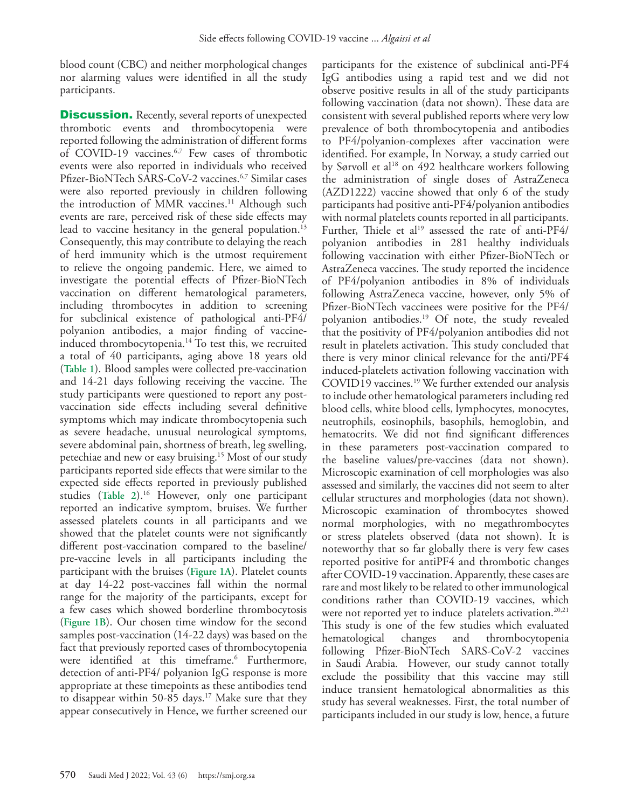blood count (CBC) and neither morphological changes nor alarming values were identified in all the study participants.

**Discussion.** Recently, several reports of unexpected thrombotic events and thrombocytopenia were reported following the administration of different forms of COVID-19 vaccines.[6](#page-4-5)[,7](#page-4-6) Few cases of thrombotic events were also reported in individuals who received Pfizer-BioNTech SARS-CoV-2 vaccines.[6](#page-4-5),[7](#page-4-6) Similar cases were also reported previously in children following the introduction of MMR vaccines.<sup>11</sup> Although such events are rare, perceived risk of these side effects may lead to vaccine hesitancy in the general population.<sup>13</sup> Consequently, this may contribute to delaying the reach of herd immunity which is the utmost requirement to relieve the ongoing pandemic. Here, we aimed to investigate the potential effects of Pfizer-BioNTech vaccination on different hematological parameters, including thrombocytes in addition to screening for subclinical existence of pathological anti-PF4/ polyanion antibodies, a major finding of vaccineinduced thrombocytopenia.<sup>14</sup> To test this, we recruited a total of 40 participants, aging above 18 years old (**Table 1**). Blood samples were collected pre-vaccination and 14-21 days following receiving the vaccine. The study participants were questioned to report any postvaccination side effects including several definitive symptoms which may indicate thrombocytopenia such as severe headache, unusual neurological symptoms, severe abdominal pain, shortness of breath, leg swelling, petechiae and new or easy bruising.15 Most of our study participants reported side effects that were similar to the expected side effects reported in previously published studies (**Table 2**). 16 However, only one participant reported an indicative symptom, bruises. We further assessed platelets counts in all participants and we showed that the platelet counts were not significantly different post-vaccination compared to the baseline/ pre-vaccine levels in all participants including the participant with the bruises (**Figure 1A**). Platelet counts at day 14-22 post-vaccines fall within the normal range for the majority of the participants, except for a few cases which showed borderline thrombocytosis (**Figure 1B**). Our chosen time window for the second samples post-vaccination (14-22 days) was based on the fact that previously reported cases of thrombocytopenia were identified at this timeframe.<sup>[6](#page-4-5)</sup> Furthermore, detection of anti-PF4/ polyanion IgG response is more appropriate at these timepoints as these antibodies tend to disappear within 50-85 days.<sup>17</sup> Make sure that they appear consecutively in Hence, we further screened our

participants for the existence of subclinical anti-PF4 IgG antibodies using a rapid test and we did not observe positive results in all of the study participants following vaccination (data not shown). These data are consistent with several published reports where very low prevalence of both thrombocytopenia and antibodies to PF4/polyanion-complexes after vaccination were identified. For example, In Norway, a study carried out by Sørvoll et al<sup>18</sup> on 492 healthcare workers following the administration of single doses of AstraZeneca (AZD1222) vaccine showed that only 6 of the study participants had positive anti-PF4/polyanion antibodies with normal platelets counts reported in all participants. Further, Thiele et al<sup>19</sup> assessed the rate of anti-PF4/ polyanion antibodies in 281 healthy individuals following vaccination with either Pfizer-BioNTech or AstraZeneca vaccines. The study reported the incidence of PF4/polyanion antibodies in 8% of individuals following AstraZeneca vaccine, however, only 5% of Pfizer-BioNTech vaccinees were positive for the PF4/ polyanion antibodies.19 Of note, the study revealed that the positivity of PF4/polyanion antibodies did not result in platelets activation. This study concluded that there is very minor clinical relevance for the anti/PF4 induced-platelets activation following vaccination with COVID19 vaccines.<sup>19</sup> We further extended our analysis to include other hematological parameters including red blood cells, white blood cells, lymphocytes, monocytes, neutrophils, eosinophils, basophils, hemoglobin, and hematocrits. We did not find significant differences in these parameters post-vaccination compared to the baseline values/pre-vaccines (data not shown). Microscopic examination of cell morphologies was also assessed and similarly, the vaccines did not seem to alter cellular structures and morphologies (data not shown). Microscopic examination of thrombocytes showed normal morphologies, with no megathrombocytes or stress platelets observed (data not shown). It is noteworthy that so far globally there is very few cases reported positive for antiPF4 and thrombotic changes after COVID-19 vaccination. Apparently, these cases are rare and most likely to be related to other immunological conditions rather than COVID-19 vaccines, which were not reported yet to induce platelets activation.<sup>20,21</sup> This study is one of the few studies which evaluated hematological changes and thrombocytopenia following Pfizer-BioNTech SARS-CoV-2 vaccines in Saudi Arabia. However, our study cannot totally exclude the possibility that this vaccine may still induce transient hematological abnormalities as this study has several weaknesses. First, the total number of participants included in our study is low, hence, a future